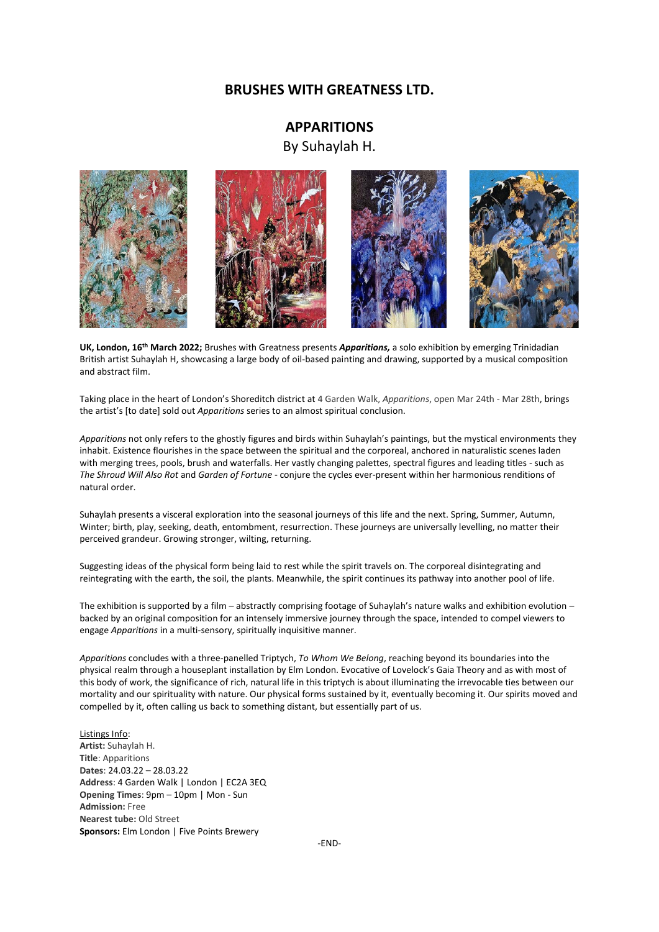## **BRUSHES WITH GREATNESS LTD.**

# **APPARITIONS**

By Suhaylah H.









**UK, London, 16th March 2022;** Brushes with Greatness presents *Apparitions,* a solo exhibition by emerging Trinidadian British artist Suhaylah H, showcasing a large body of oil-based painting and drawing, supported by a musical composition and abstract film.

Taking place in the heart of London's Shoreditch district at 4 Garden Walk, *Apparitions*, open Mar 24th - Mar 28th, brings the artist's [to date] sold out *Apparitions* series to an almost spiritual conclusion.

*Apparitions* not only refers to the ghostly figures and birds within Suhaylah's paintings, but the mystical environments they inhabit. Existence flourishes in the space between the spiritual and the corporeal, anchored in naturalistic scenes laden with merging trees, pools, brush and waterfalls. Her vastly changing palettes, spectral figures and leading titles - such as *The Shroud Will Also Rot* and *Garden of Fortune* - conjure the cycles ever-present within her harmonious renditions of natural order.

Suhaylah presents a visceral exploration into the seasonal journeys of this life and the next. Spring, Summer, Autumn, Winter; birth, play, seeking, death, entombment, resurrection. These journeys are universally levelling, no matter their perceived grandeur. Growing stronger, wilting, returning.

Suggesting ideas of the physical form being laid to rest while the spirit travels on. The corporeal disintegrating and reintegrating with the earth, the soil, the plants. Meanwhile, the spirit continues its pathway into another pool of life.

The exhibition is supported by a film – abstractly comprising footage of Suhaylah's nature walks and exhibition evolution – backed by an original composition for an intensely immersive journey through the space, intended to compel viewers to engage *Apparitions* in a multi-sensory, spiritually inquisitive manner.

*Apparitions* concludes with a three-panelled Triptych, *To Whom We Belong*, reaching beyond its boundaries into the physical realm through a houseplant installation by Elm London. Evocative of Lovelock's Gaia Theory and as with most of this body of work, the significance of rich, natural life in this triptych is about illuminating the irrevocable ties between our mortality and our spirituality with nature. Our physical forms sustained by it, eventually becoming it. Our spirits moved and compelled by it, often calling us back to something distant, but essentially part of us.

Listings Info: **Artist:** Suhaylah H. **Title**: Apparitions **Dates**: 24.03.22 – 28.03.22 **Address**: 4 Garden Walk | London | EC2A 3EQ **Opening Times**: 9pm – 10pm | Mon - Sun **Admission:** Free **Nearest tube:** Old Street **Sponsors:** Elm London | Five Points Brewery